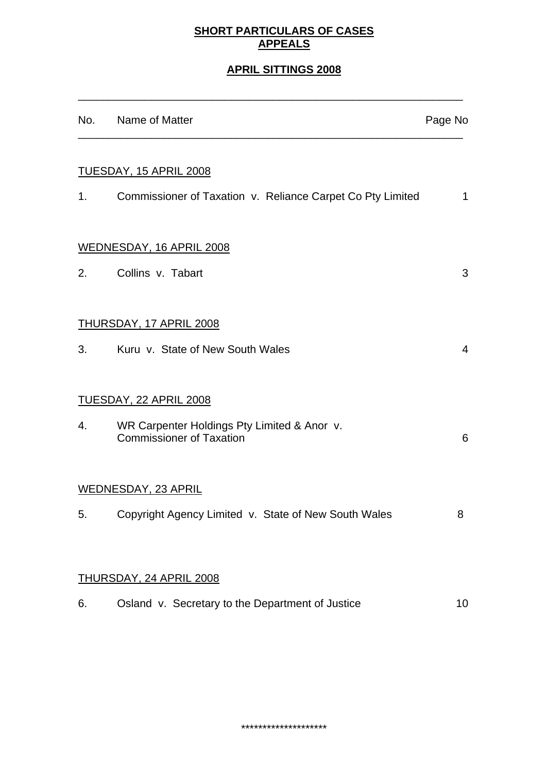# **SHORT PARTICULARS OF CASES APPEALS**

# **APRIL SITTINGS 2008**

\_\_\_\_\_\_\_\_\_\_\_\_\_\_\_\_\_\_\_\_\_\_\_\_\_\_\_\_\_\_\_\_\_\_\_\_\_\_\_\_\_\_\_\_\_\_\_\_\_\_\_\_\_\_\_\_\_\_\_\_\_\_\_

|    | No. Name of Matter                                                             | Page No        |
|----|--------------------------------------------------------------------------------|----------------|
|    | <u>TUESDAY, 15 APRIL 2008</u>                                                  |                |
| 1. | Commissioner of Taxation v. Reliance Carpet Co Pty Limited                     | $\mathbf 1$    |
|    | <b>WEDNESDAY, 16 APRIL 2008</b>                                                |                |
| 2. | Collins v. Tabart                                                              | 3              |
|    | <b>THURSDAY, 17 APRIL 2008</b>                                                 |                |
|    | 3. Kuru v. State of New South Wales                                            | $\overline{4}$ |
|    | <u>TUESDAY, 22 APRIL 2008</u>                                                  |                |
| 4. | WR Carpenter Holdings Pty Limited & Anor v.<br><b>Commissioner of Taxation</b> | 6              |
|    | <b>WEDNESDAY, 23 APRIL</b>                                                     |                |
| 5. | Copyright Agency Limited v. State of New South Wales                           | 8              |
|    |                                                                                |                |
|    | <b>THURSDAY, 24 APRIL 2008</b>                                                 |                |
| 6. | Osland v. Secretary to the Department of Justice                               | 10             |

\*\*\*\*\*\*\*\*\*\*\*\*\*\*\*\*\*\*\*\*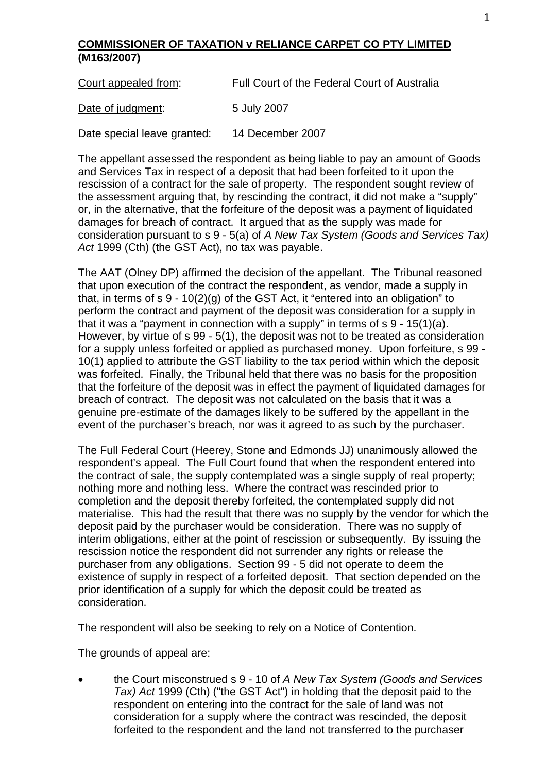## **COMMISSIONER OF TAXATION v RELIANCE CARPET CO PTY LIMITED (M163/2007)**

| Court appealed from: | Full Court of the Federal Court of Australia |
|----------------------|----------------------------------------------|
| Date of judgment:    | 5 July 2007                                  |

Date special leave granted: 14 December 2007

The appellant assessed the respondent as being liable to pay an amount of Goods and Services Tax in respect of a deposit that had been forfeited to it upon the rescission of a contract for the sale of property. The respondent sought review of the assessment arguing that, by rescinding the contract, it did not make a "supply" or, in the alternative, that the forfeiture of the deposit was a payment of liquidated damages for breach of contract. It argued that as the supply was made for consideration pursuant to s 9 - 5(a) of *A New Tax System (Goods and Services Tax) Act* 1999 (Cth) (the GST Act), no tax was payable.

The AAT (Olney DP) affirmed the decision of the appellant. The Tribunal reasoned that upon execution of the contract the respondent, as vendor, made a supply in that, in terms of  $s$  9 - 10(2)(g) of the GST Act, it "entered into an obligation" to perform the contract and payment of the deposit was consideration for a supply in that it was a "payment in connection with a supply" in terms of s 9 - 15(1)(a). However, by virtue of s 99 - 5(1), the deposit was not to be treated as consideration for a supply unless forfeited or applied as purchased money. Upon forfeiture, s 99 - 10(1) applied to attribute the GST liability to the tax period within which the deposit was forfeited. Finally, the Tribunal held that there was no basis for the proposition that the forfeiture of the deposit was in effect the payment of liquidated damages for breach of contract. The deposit was not calculated on the basis that it was a genuine pre-estimate of the damages likely to be suffered by the appellant in the event of the purchaser's breach, nor was it agreed to as such by the purchaser.

The Full Federal Court (Heerey, Stone and Edmonds JJ) unanimously allowed the respondent's appeal. The Full Court found that when the respondent entered into the contract of sale, the supply contemplated was a single supply of real property; nothing more and nothing less. Where the contract was rescinded prior to completion and the deposit thereby forfeited, the contemplated supply did not materialise. This had the result that there was no supply by the vendor for which the deposit paid by the purchaser would be consideration. There was no supply of interim obligations, either at the point of rescission or subsequently. By issuing the rescission notice the respondent did not surrender any rights or release the purchaser from any obligations. Section 99 - 5 did not operate to deem the existence of supply in respect of a forfeited deposit. That section depended on the prior identification of a supply for which the deposit could be treated as consideration.

The respondent will also be seeking to rely on a Notice of Contention.

The grounds of appeal are:

• the Court misconstrued s 9 - 10 of *A New Tax System (Goods and Services Tax) Act* 1999 (Cth) ("the GST Act") in holding that the deposit paid to the respondent on entering into the contract for the sale of land was not consideration for a supply where the contract was rescinded, the deposit forfeited to the respondent and the land not transferred to the purchaser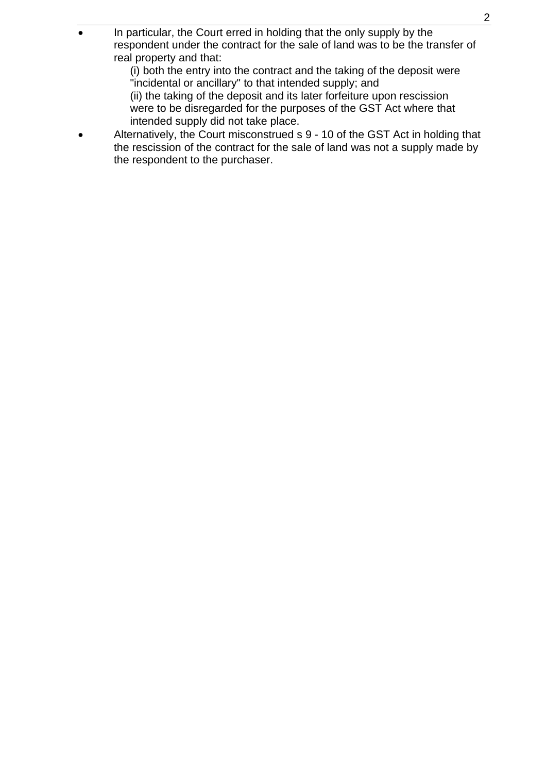• In particular, the Court erred in holding that the only supply by the respondent under the contract for the sale of land was to be the transfer of real property and that:

 (i) both the entry into the contract and the taking of the deposit were "incidental or ancillary" to that intended supply; and

 (ii) the taking of the deposit and its later forfeiture upon rescission were to be disregarded for the purposes of the GST Act where that intended supply did not take place.

• Alternatively, the Court misconstrued s 9 - 10 of the GST Act in holding that the rescission of the contract for the sale of land was not a supply made by the respondent to the purchaser.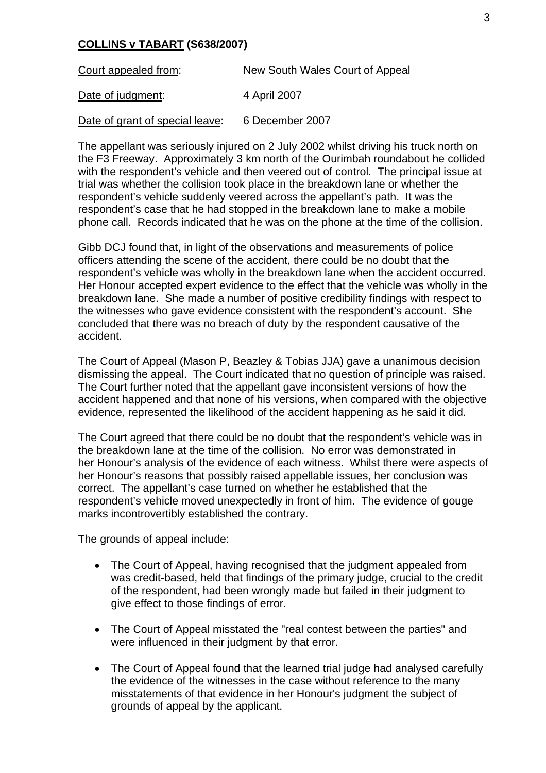## **COLLINS v TABART (S638/2007)**

| Court appealed from:            | New South Wales Court of Appeal |
|---------------------------------|---------------------------------|
| Date of judgment:               | 4 April 2007                    |
| Date of grant of special leave: | 6 December 2007                 |

The appellant was seriously injured on 2 July 2002 whilst driving his truck north on the F3 Freeway. Approximately 3 km north of the Ourimbah roundabout he collided with the respondent's vehicle and then veered out of control. The principal issue at trial was whether the collision took place in the breakdown lane or whether the respondent's vehicle suddenly veered across the appellant's path. It was the respondent's case that he had stopped in the breakdown lane to make a mobile phone call. Records indicated that he was on the phone at the time of the collision.

Gibb DCJ found that, in light of the observations and measurements of police officers attending the scene of the accident, there could be no doubt that the respondent's vehicle was wholly in the breakdown lane when the accident occurred. Her Honour accepted expert evidence to the effect that the vehicle was wholly in the breakdown lane. She made a number of positive credibility findings with respect to the witnesses who gave evidence consistent with the respondent's account. She concluded that there was no breach of duty by the respondent causative of the accident.

The Court of Appeal (Mason P, Beazley & Tobias JJA) gave a unanimous decision dismissing the appeal. The Court indicated that no question of principle was raised. The Court further noted that the appellant gave inconsistent versions of how the accident happened and that none of his versions, when compared with the objective evidence, represented the likelihood of the accident happening as he said it did.

The Court agreed that there could be no doubt that the respondent's vehicle was in the breakdown lane at the time of the collision. No error was demonstrated in her Honour's analysis of the evidence of each witness. Whilst there were aspects of her Honour's reasons that possibly raised appellable issues, her conclusion was correct. The appellant's case turned on whether he established that the respondent's vehicle moved unexpectedly in front of him. The evidence of gouge marks incontrovertibly established the contrary.

The grounds of appeal include:

- The Court of Appeal, having recognised that the judgment appealed from was credit-based, held that findings of the primary judge, crucial to the credit of the respondent, had been wrongly made but failed in their judgment to give effect to those findings of error.
- The Court of Appeal misstated the "real contest between the parties" and were influenced in their judgment by that error.
- The Court of Appeal found that the learned trial judge had analysed carefully the evidence of the witnesses in the case without reference to the many misstatements of that evidence in her Honour's judgment the subject of grounds of appeal by the applicant.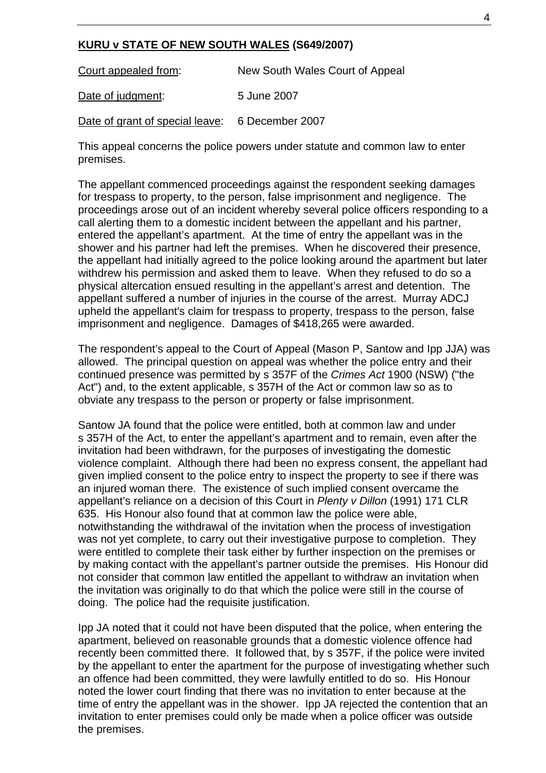#### **KURU v STATE OF NEW SOUTH WALES (S649/2007)**

| Court appealed from:                            | New South Wales Court of Appeal |
|-------------------------------------------------|---------------------------------|
| Date of judgment:                               | 5 June 2007                     |
| Date of grant of special leave: 6 December 2007 |                                 |

This appeal concerns the police powers under statute and common law to enter premises.

The appellant commenced proceedings against the respondent seeking damages for trespass to property, to the person, false imprisonment and negligence. The proceedings arose out of an incident whereby several police officers responding to a call alerting them to a domestic incident between the appellant and his partner, entered the appellant's apartment. At the time of entry the appellant was in the shower and his partner had left the premises. When he discovered their presence, the appellant had initially agreed to the police looking around the apartment but later withdrew his permission and asked them to leave. When they refused to do so a physical altercation ensued resulting in the appellant's arrest and detention. The appellant suffered a number of injuries in the course of the arrest. Murray ADCJ upheld the appellant's claim for trespass to property, trespass to the person, false imprisonment and negligence. Damages of \$418,265 were awarded.

The respondent's appeal to the Court of Appeal (Mason P, Santow and Ipp JJA) was allowed. The principal question on appeal was whether the police entry and their continued presence was permitted by s 357F of the *Crimes Act* 1900 (NSW) ("the Act") and, to the extent applicable, s 357H of the Act or common law so as to obviate any trespass to the person or property or false imprisonment.

Santow JA found that the police were entitled, both at common law and under s 357H of the Act, to enter the appellant's apartment and to remain, even after the invitation had been withdrawn, for the purposes of investigating the domestic violence complaint. Although there had been no express consent, the appellant had given implied consent to the police entry to inspect the property to see if there was an injured woman there. The existence of such implied consent overcame the appellant's reliance on a decision of this Court in *Plenty v Dillon* (1991) 171 CLR 635. His Honour also found that at common law the police were able, notwithstanding the withdrawal of the invitation when the process of investigation was not yet complete, to carry out their investigative purpose to completion. They were entitled to complete their task either by further inspection on the premises or by making contact with the appellant's partner outside the premises. His Honour did not consider that common law entitled the appellant to withdraw an invitation when the invitation was originally to do that which the police were still in the course of doing. The police had the requisite justification.

Ipp JA noted that it could not have been disputed that the police, when entering the apartment, believed on reasonable grounds that a domestic violence offence had recently been committed there. It followed that, by s 357F, if the police were invited by the appellant to enter the apartment for the purpose of investigating whether such an offence had been committed, they were lawfully entitled to do so. His Honour noted the lower court finding that there was no invitation to enter because at the time of entry the appellant was in the shower. Ipp JA rejected the contention that an invitation to enter premises could only be made when a police officer was outside the premises.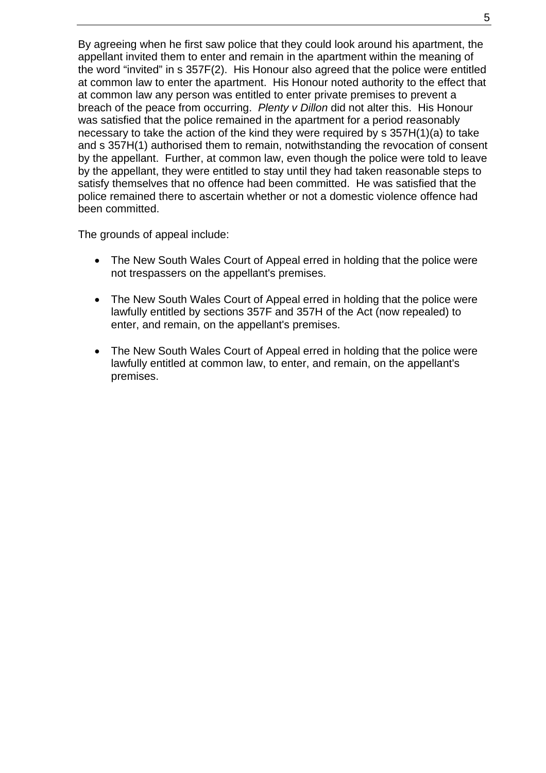By agreeing when he first saw police that they could look around his apartment, the appellant invited them to enter and remain in the apartment within the meaning of the word "invited" in s 357F(2). His Honour also agreed that the police were entitled at common law to enter the apartment. His Honour noted authority to the effect that at common law any person was entitled to enter private premises to prevent a breach of the peace from occurring. *Plenty v Dillon* did not alter this. His Honour was satisfied that the police remained in the apartment for a period reasonably necessary to take the action of the kind they were required by s 357H(1)(a) to take and s 357H(1) authorised them to remain, notwithstanding the revocation of consent by the appellant. Further, at common law, even though the police were told to leave by the appellant, they were entitled to stay until they had taken reasonable steps to satisfy themselves that no offence had been committed. He was satisfied that the police remained there to ascertain whether or not a domestic violence offence had been committed.

The grounds of appeal include:

- The New South Wales Court of Appeal erred in holding that the police were not trespassers on the appellant's premises.
- The New South Wales Court of Appeal erred in holding that the police were lawfully entitled by sections 357F and 357H of the Act (now repealed) to enter, and remain, on the appellant's premises.
- The New South Wales Court of Appeal erred in holding that the police were lawfully entitled at common law, to enter, and remain, on the appellant's premises.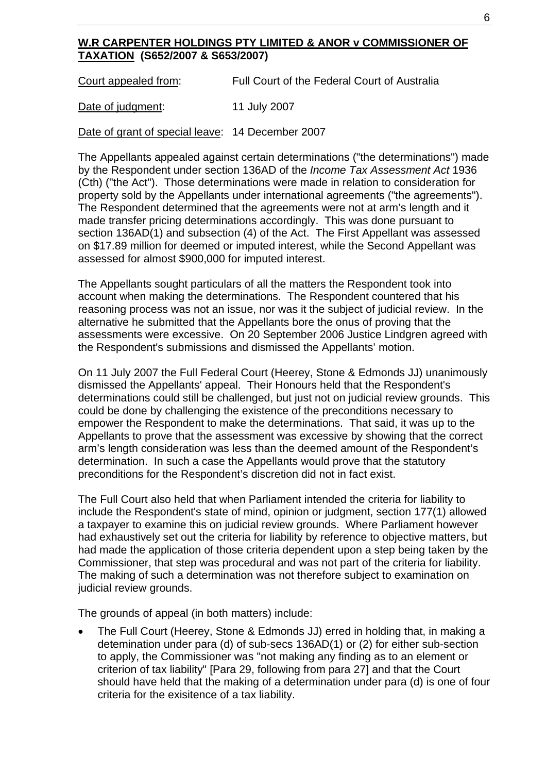## **W.R CARPENTER HOLDINGS PTY LIMITED & ANOR v COMMISSIONER OF TAXATION (S652/2007 & S653/2007)**

Court appealed from: Full Court of the Federal Court of Australia

Date of judgment: 11 July 2007

Date of grant of special leave: 14 December 2007

The Appellants appealed against certain determinations ("the determinations") made by the Respondent under section 136AD of the *Income Tax Assessment Act* 1936 (Cth) ("the Act"). Those determinations were made in relation to consideration for property sold by the Appellants under international agreements ("the agreements"). The Respondent determined that the agreements were not at arm's length and it made transfer pricing determinations accordingly. This was done pursuant to section 136AD(1) and subsection (4) of the Act. The First Appellant was assessed on \$17.89 million for deemed or imputed interest, while the Second Appellant was assessed for almost \$900,000 for imputed interest.

The Appellants sought particulars of all the matters the Respondent took into account when making the determinations. The Respondent countered that his reasoning process was not an issue, nor was it the subject of judicial review. In the alternative he submitted that the Appellants bore the onus of proving that the assessments were excessive. On 20 September 2006 Justice Lindgren agreed with the Respondent's submissions and dismissed the Appellants' motion.

On 11 July 2007 the Full Federal Court (Heerey, Stone & Edmonds JJ) unanimously dismissed the Appellants' appeal. Their Honours held that the Respondent's determinations could still be challenged, but just not on judicial review grounds. This could be done by challenging the existence of the preconditions necessary to empower the Respondent to make the determinations. That said, it was up to the Appellants to prove that the assessment was excessive by showing that the correct arm's length consideration was less than the deemed amount of the Respondent's determination. In such a case the Appellants would prove that the statutory preconditions for the Respondent's discretion did not in fact exist.

The Full Court also held that when Parliament intended the criteria for liability to include the Respondent's state of mind, opinion or judgment, section 177(1) allowed a taxpayer to examine this on judicial review grounds. Where Parliament however had exhaustively set out the criteria for liability by reference to objective matters, but had made the application of those criteria dependent upon a step being taken by the Commissioner, that step was procedural and was not part of the criteria for liability. The making of such a determination was not therefore subject to examination on judicial review grounds.

The grounds of appeal (in both matters) include:

• The Full Court (Heerey, Stone & Edmonds JJ) erred in holding that, in making a detemination under para (d) of sub-secs 136AD(1) or (2) for either sub-section to apply, the Commissioner was "not making any finding as to an element or criterion of tax liability" [Para 29, following from para 27] and that the Court should have held that the making of a determination under para (d) is one of four criteria for the exisitence of a tax liability.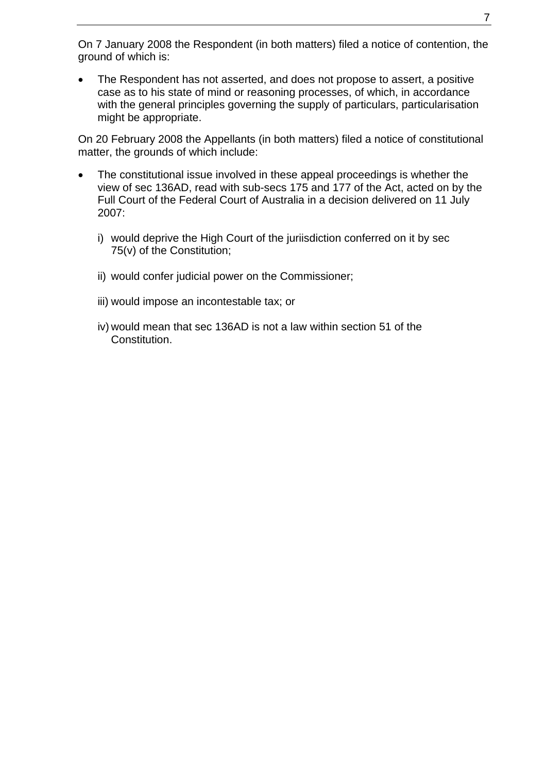On 7 January 2008 the Respondent (in both matters) filed a notice of contention, the ground of which is:

• The Respondent has not asserted, and does not propose to assert, a positive case as to his state of mind or reasoning processes, of which, in accordance with the general principles governing the supply of particulars, particularisation might be appropriate.

On 20 February 2008 the Appellants (in both matters) filed a notice of constitutional matter, the grounds of which include:

- The constitutional issue involved in these appeal proceedings is whether the view of sec 136AD, read with sub-secs 175 and 177 of the Act, acted on by the Full Court of the Federal Court of Australia in a decision delivered on 11 July 2007:
	- i) would deprive the High Court of the juriisdiction conferred on it by sec 75(v) of the Constitution;
	- ii) would confer judicial power on the Commissioner;
	- iii) would impose an incontestable tax; or
	- iv) would mean that sec 136AD is not a law within section 51 of the Constitution.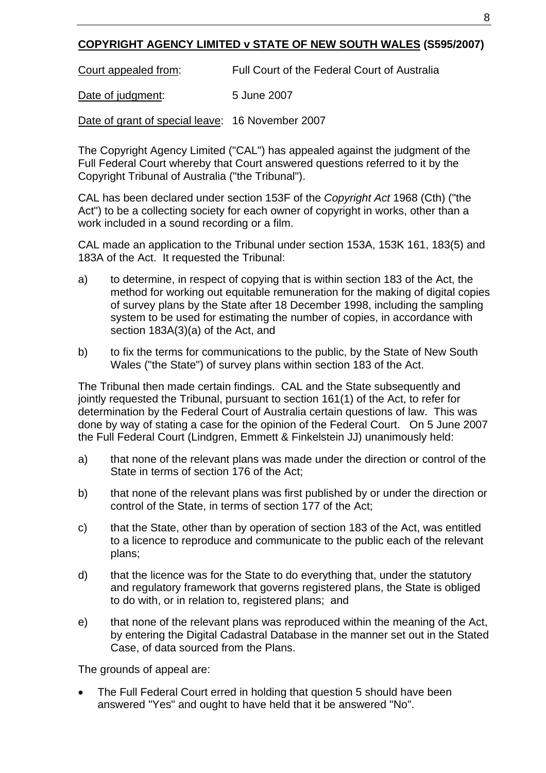# **COPYRIGHT AGENCY LIMITED v STATE OF NEW SOUTH WALES (S595/2007)**

Court appealed from: Full Court of the Federal Court of Australia

Date of judgment: 5 June 2007

Date of grant of special leave: 16 November 2007

The Copyright Agency Limited ("CAL") has appealed against the judgment of the Full Federal Court whereby that Court answered questions referred to it by the Copyright Tribunal of Australia ("the Tribunal").

CAL has been declared under section 153F of the *Copyright Act* 1968 (Cth) ("the Act") to be a collecting society for each owner of copyright in works, other than a work included in a sound recording or a film.

CAL made an application to the Tribunal under section 153A, 153K 161, 183(5) and 183A of the Act. It requested the Tribunal:

- a) to determine, in respect of copying that is within section 183 of the Act, the method for working out equitable remuneration for the making of digital copies of survey plans by the State after 18 December 1998, including the sampling system to be used for estimating the number of copies, in accordance with section 183A(3)(a) of the Act, and
- b) to fix the terms for communications to the public, by the State of New South Wales ("the State") of survey plans within section 183 of the Act.

The Tribunal then made certain findings. CAL and the State subsequently and jointly requested the Tribunal, pursuant to section 161(1) of the Act, to refer for determination by the Federal Court of Australia certain questions of law. This was done by way of stating a case for the opinion of the Federal Court. On 5 June 2007 the Full Federal Court (Lindgren, Emmett & Finkelstein JJ) unanimously held:

- a) that none of the relevant plans was made under the direction or control of the State in terms of section 176 of the Act;
- b) that none of the relevant plans was first published by or under the direction or control of the State, in terms of section 177 of the Act;
- c) that the State, other than by operation of section 183 of the Act, was entitled to a licence to reproduce and communicate to the public each of the relevant plans;
- d) that the licence was for the State to do everything that, under the statutory and regulatory framework that governs registered plans, the State is obliged to do with, or in relation to, registered plans; and
- e) that none of the relevant plans was reproduced within the meaning of the Act, by entering the Digital Cadastral Database in the manner set out in the Stated Case, of data sourced from the Plans.

The grounds of appeal are:

• The Full Federal Court erred in holding that question 5 should have been answered "Yes" and ought to have held that it be answered "No".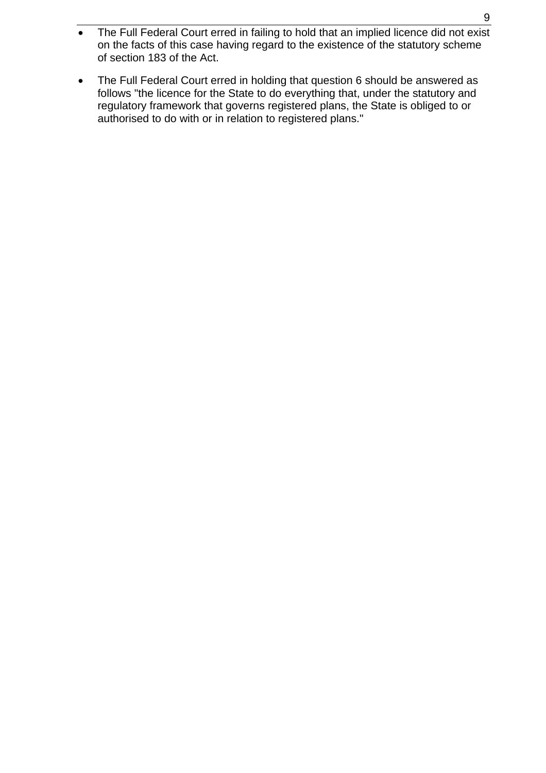- The Full Federal Court erred in failing to hold that an implied licence did not exist on the facts of this case having regard to the existence of the statutory scheme of section 183 of the Act.
- The Full Federal Court erred in holding that question 6 should be answered as follows "the licence for the State to do everything that, under the statutory and regulatory framework that governs registered plans, the State is obliged to or authorised to do with or in relation to registered plans."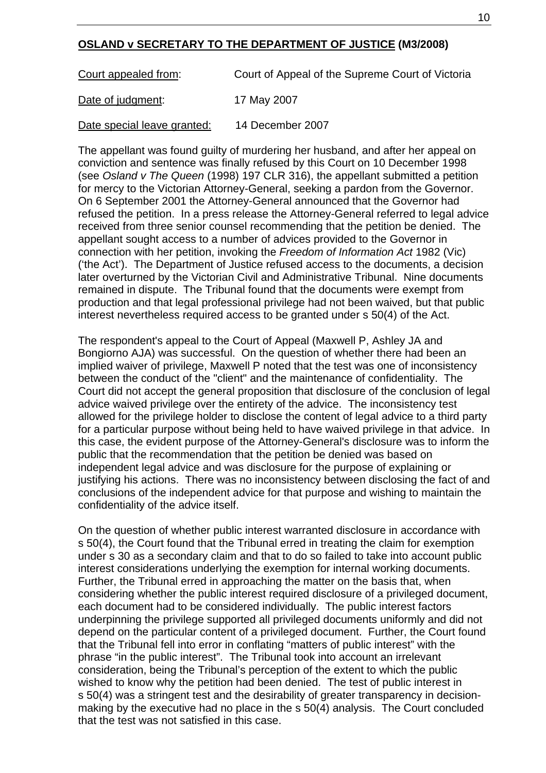### **OSLAND v SECRETARY TO THE DEPARTMENT OF JUSTICE (M3/2008)**

Court appealed from:Court of Appeal of the Supreme Court of Victoria

Date of judgment:17 May 2007

Date special leave granted: 14 December 2007

The appellant was found guilty of murdering her husband, and after her appeal on conviction and sentence was finally refused by this Court on 10 December 1998 (see *Osland v The Queen* (1998) 197 CLR 316), the appellant submitted a petition for mercy to the Victorian Attorney-General, seeking a pardon from the Governor. On 6 September 2001 the Attorney-General announced that the Governor had refused the petition. In a press release the Attorney-General referred to legal advice received from three senior counsel recommending that the petition be denied. The appellant sought access to a number of advices provided to the Governor in connection with her petition, invoking the *Freedom of Information Act* 1982 (Vic) ('the Act'). The Department of Justice refused access to the documents, a decision later overturned by the Victorian Civil and Administrative Tribunal. Nine documents remained in dispute. The Tribunal found that the documents were exempt from production and that legal professional privilege had not been waived, but that public interest nevertheless required access to be granted under s 50(4) of the Act.

The respondent's appeal to the Court of Appeal (Maxwell P, Ashley JA and Bongiorno AJA) was successful. On the question of whether there had been an implied waiver of privilege, Maxwell P noted that the test was one of inconsistency between the conduct of the "client" and the maintenance of confidentiality. The Court did not accept the general proposition that disclosure of the conclusion of legal advice waived privilege over the entirety of the advice. The inconsistency test allowed for the privilege holder to disclose the content of legal advice to a third party for a particular purpose without being held to have waived privilege in that advice. In this case, the evident purpose of the Attorney-General's disclosure was to inform the public that the recommendation that the petition be denied was based on independent legal advice and was disclosure for the purpose of explaining or justifying his actions. There was no inconsistency between disclosing the fact of and conclusions of the independent advice for that purpose and wishing to maintain the confidentiality of the advice itself.

On the question of whether public interest warranted disclosure in accordance with s 50(4), the Court found that the Tribunal erred in treating the claim for exemption under s 30 as a secondary claim and that to do so failed to take into account public interest considerations underlying the exemption for internal working documents. Further, the Tribunal erred in approaching the matter on the basis that, when considering whether the public interest required disclosure of a privileged document, each document had to be considered individually. The public interest factors underpinning the privilege supported all privileged documents uniformly and did not depend on the particular content of a privileged document. Further, the Court found that the Tribunal fell into error in conflating "matters of public interest" with the phrase "in the public interest". The Tribunal took into account an irrelevant consideration, being the Tribunal's perception of the extent to which the public wished to know why the petition had been denied. The test of public interest in s 50(4) was a stringent test and the desirability of greater transparency in decisionmaking by the executive had no place in the s 50(4) analysis. The Court concluded that the test was not satisfied in this case.